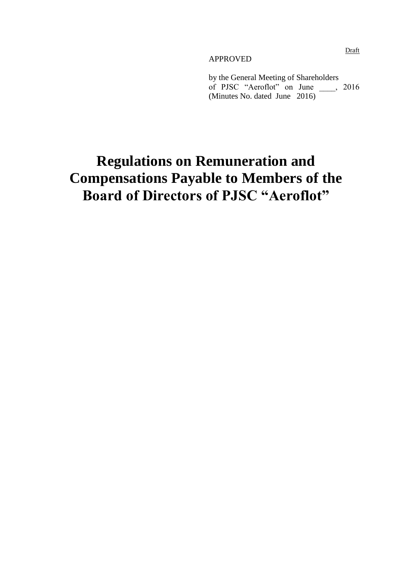#### APPROVED

by the General Meeting of Shareholders of PJSC "Aeroflot" on June \_\_\_\_, 2016 (Minutes No. dated June 2016)

# **Regulations on Remuneration and Compensations Payable to Members of the Board of Directors of PJSC "Aeroflot"**

Draft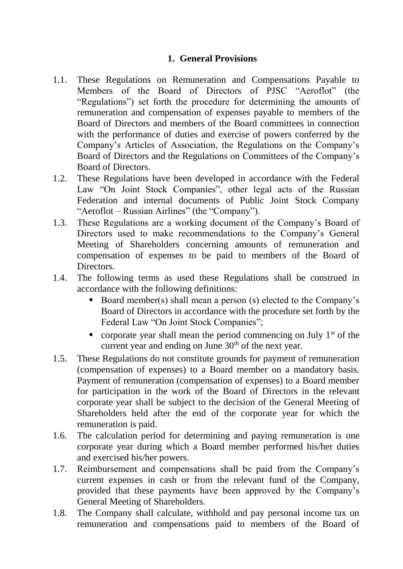#### **1. General Provisions**

- 1.1. These Regulations on Remuneration and Compensations Payable to Members of the Board of Directors of PJSC "Aeroflot" (the "Regulations") set forth the procedure for determining the amounts of remuneration and compensation of expenses payable to members of the Board of Directors and members of the Board committees in connection with the performance of duties and exercise of powers conferred by the Company's Articles of Association, the Regulations on the Company's Board of Directors and the Regulations on Committees of the Company's Board of Directors.
- 1.2. These Regulations have been developed in accordance with the Federal Law "On Joint Stock Companies", other legal acts of the Russian Federation and internal documents of Public Joint Stock Company "Aeroflot – Russian Airlines" (the "Company").
- 1.3. These Regulations are a working document of the Company's Board of Directors used to make recommendations to the Company's General Meeting of Shareholders concerning amounts of remuneration and compensation of expenses to be paid to members of the Board of Directors.
- 1.4. The following terms as used these Regulations shall be construed in accordance with the following definitions:
	- Board member(s) shall mean a person (s) elected to the Company's Board of Directors in accordance with the procedure set forth by the Federal Law "On Joint Stock Companies";
	- corporate year shall mean the period commencing on July  $1<sup>st</sup>$  of the current year and ending on June  $30<sup>th</sup>$  of the next year.
- 1.5. These Regulations do not constitute grounds for payment of remuneration (compensation of expenses) to a Board member on a mandatory basis. Payment of remuneration (compensation of expenses) to a Board member for participation in the work of the Board of Directors in the relevant corporate year shall be subject to the decision of the General Meeting of Shareholders held after the end of the corporate year for which the remuneration is paid.
- 1.6. The calculation period for determining and paying remuneration is one corporate year during which a Board member performed his/her duties and exercised his/her powers.
- 1.7. Reimbursement and compensations shall be paid from the Company's current expenses in cash or from the relevant fund of the Company, provided that these payments have been approved by the Company's General Meeting of Shareholders.
- 1.8. The Company shall calculate, withhold and pay personal income tax on remuneration and compensations paid to members of the Board of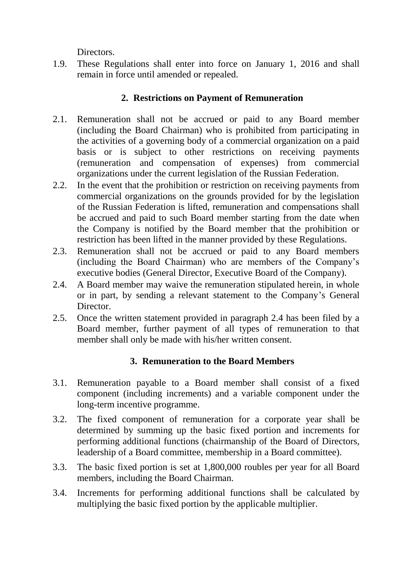Directors.

1.9. These Regulations shall enter into force on January 1, 2016 and shall remain in force until amended or repealed.

## **2. Restrictions on Payment of Remuneration**

- 2.1. Remuneration shall not be accrued or paid to any Board member (including the Board Chairman) who is prohibited from participating in the activities of a governing body of a commercial organization on a paid basis or is subject to other restrictions on receiving payments (remuneration and compensation of expenses) from commercial organizations under the current legislation of the Russian Federation.
- 2.2. In the event that the prohibition or restriction on receiving payments from commercial organizations on the grounds provided for by the legislation of the Russian Federation is lifted, remuneration and compensations shall be accrued and paid to such Board member starting from the date when the Company is notified by the Board member that the prohibition or restriction has been lifted in the manner provided by these Regulations.
- 2.3. Remuneration shall not be accrued or paid to any Board members (including the Board Chairman) who are members of the Company's executive bodies (General Director, Executive Board of the Company).
- 2.4. A Board member may waive the remuneration stipulated herein, in whole or in part, by sending a relevant statement to the Company's General Director.
- 2.5. Once the written statement provided in paragraph 2.4 has been filed by a Board member, further payment of all types of remuneration to that member shall only be made with his/her written consent.

# **3. Remuneration to the Board Members**

- 3.1. Remuneration payable to a Board member shall consist of a fixed component (including increments) and a variable component under the long-term incentive programme.
- 3.2. The fixed component of remuneration for a corporate year shall be determined by summing up the basic fixed portion and increments for performing additional functions (chairmanship of the Board of Directors, leadership of a Board committee, membership in a Board committee).
- 3.3. The basic fixed portion is set at 1,800,000 roubles per year for all Board members, including the Board Chairman.
- 3.4. Increments for performing additional functions shall be calculated by multiplying the basic fixed portion by the applicable multiplier.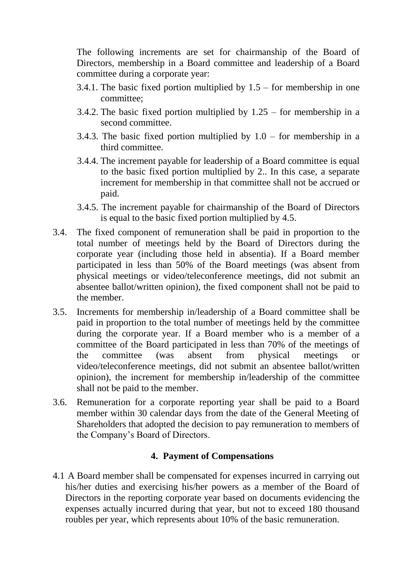The following increments are set for chairmanship of the Board of Directors, membership in a Board committee and leadership of a Board committee during a corporate year:

- 3.4.1. The basic fixed portion multiplied by  $1.5$  for membership in one committee;
- 3.4.2. The basic fixed portion multiplied by 1.25 for membership in a second committee.
- 3.4.3. The basic fixed portion multiplied by  $1.0 -$  for membership in a third committee.
- 3.4.4. The increment payable for leadership of a Board committee is equal to the basic fixed portion multiplied by 2.. In this case, a separate increment for membership in that committee shall not be accrued or paid.
- 3.4.5. The increment payable for chairmanship of the Board of Directors is equal to the basic fixed portion multiplied by 4.5.
- 3.4. The fixed component of remuneration shall be paid in proportion to the total number of meetings held by the Board of Directors during the corporate year (including those held in absentia). If a Board member participated in less than 50% of the Board meetings (was absent from physical meetings or video/teleconference meetings, did not submit an absentee ballot/written opinion), the fixed component shall not be paid to the member.
- 3.5. Increments for membership in/leadership of a Board committee shall be paid in proportion to the total number of meetings held by the committee during the corporate year. If a Board member who is a member of a committee of the Board participated in less than 70% of the meetings of the committee (was absent from physical meetings or video/teleconference meetings, did not submit an absentee ballot/written opinion), the increment for membership in/leadership of the committee shall not be paid to the member.
- 3.6. Remuneration for a corporate reporting year shall be paid to a Board member within 30 calendar days from the date of the General Meeting of Shareholders that adopted the decision to pay remuneration to members of the Company's Board of Directors.

#### **4. Payment of Compensations**

4.1 A Board member shall be compensated for expenses incurred in carrying out his/her duties and exercising his/her powers as a member of the Board of Directors in the reporting corporate year based on documents evidencing the expenses actually incurred during that year, but not to exceed 180 thousand roubles per year, which represents about 10% of the basic remuneration.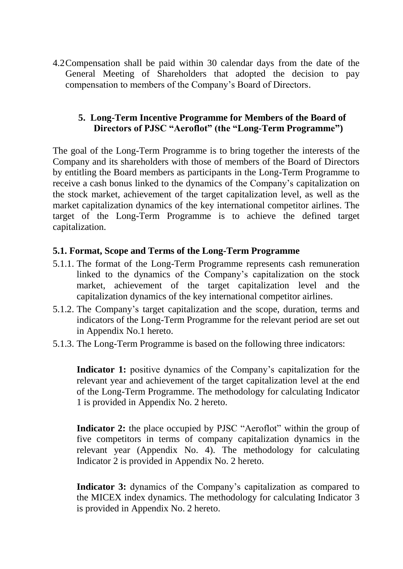4.2Compensation shall be paid within 30 calendar days from the date of the General Meeting of Shareholders that adopted the decision to pay compensation to members of the Company's Board of Directors.

#### **5. Long-Term Incentive Programme for Members of the Board of Directors of PJSC "Aeroflot" (the "Long-Term Programme")**

The goal of the Long-Term Programme is to bring together the interests of the Company and its shareholders with those of members of the Board of Directors by entitling the Board members as participants in the Long-Term Programme to receive a cash bonus linked to the dynamics of the Company's capitalization on the stock market, achievement of the target capitalization level, as well as the market capitalization dynamics of the key international competitor airlines. The target of the Long-Term Programme is to achieve the defined target capitalization.

#### **5.1. Format, Scope and Terms of the Long-Term Programme**

- 5.1.1. The format of the Long-Term Programme represents cash remuneration linked to the dynamics of the Company's capitalization on the stock market, achievement of the target capitalization level and the capitalization dynamics of the key international competitor airlines.
- 5.1.2. The Company's target capitalization and the scope, duration, terms and indicators of the Long-Term Programme for the relevant period are set out in Appendix No.1 hereto.
- 5.1.3. The Long-Term Programme is based on the following three indicators:

**Indicator 1:** positive dynamics of the Company's capitalization for the relevant year and achievement of the target capitalization level at the end of the Long-Term Programme. The methodology for calculating Indicator 1 is provided in Appendix No. 2 hereto.

**Indicator 2:** the place occupied by PJSC "Aeroflot" within the group of five competitors in terms of company capitalization dynamics in the relevant year (Appendix No. 4). The methodology for calculating Indicator 2 is provided in Appendix No. 2 hereto.

**Indicator 3:** dynamics of the Company's capitalization as compared to the MICEX index dynamics. The methodology for calculating Indicator 3 is provided in Appendix No. 2 hereto.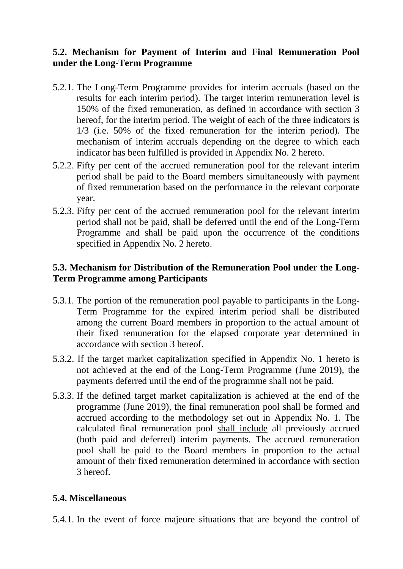### **5.2. Mechanism for Payment of Interim and Final Remuneration Pool under the Long-Term Programme**

- 5.2.1. The Long-Term Programme provides for interim accruals (based on the results for each interim period). The target interim remuneration level is 150% of the fixed remuneration, as defined in accordance with section 3 hereof, for the interim period. The weight of each of the three indicators is 1/3 (i.e. 50% of the fixed remuneration for the interim period). The mechanism of interim accruals depending on the degree to which each indicator has been fulfilled is provided in Appendix No. 2 hereto.
- 5.2.2. Fifty per cent of the accrued remuneration pool for the relevant interim period shall be paid to the Board members simultaneously with payment of fixed remuneration based on the performance in the relevant corporate year.
- 5.2.3. Fifty per cent of the accrued remuneration pool for the relevant interim period shall not be paid, shall be deferred until the end of the Long-Term Programme and shall be paid upon the occurrence of the conditions specified in Appendix No. 2 hereto.

### **5.3. Mechanism for Distribution of the Remuneration Pool under the Long-Term Programme among Participants**

- 5.3.1. The portion of the remuneration pool payable to participants in the Long-Term Programme for the expired interim period shall be distributed among the current Board members in proportion to the actual amount of their fixed remuneration for the elapsed corporate year determined in accordance with section 3 hereof.
- 5.3.2. If the target market capitalization specified in Appendix No. 1 hereto is not achieved at the end of the Long-Term Programme (June 2019), the payments deferred until the end of the programme shall not be paid.
- 5.3.3. If the defined target market capitalization is achieved at the end of the programme (June 2019), the final remuneration pool shall be formed and accrued according to the methodology set out in Appendix No. 1. The calculated final remuneration pool shall include all previously accrued (both paid and deferred) interim payments. The accrued remuneration pool shall be paid to the Board members in proportion to the actual amount of their fixed remuneration determined in accordance with section 3 hereof.

#### **5.4. Miscellaneous**

5.4.1. In the event of force majeure situations that are beyond the control of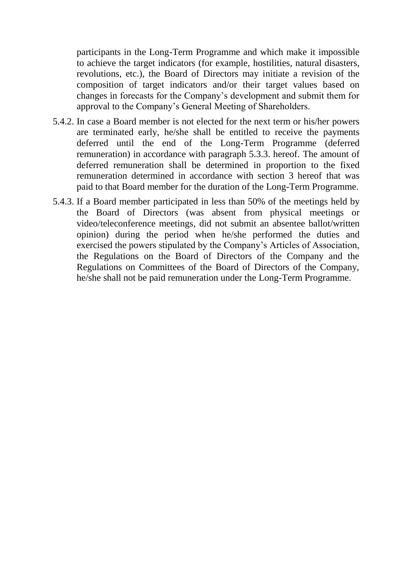participants in the Long-Term Programme and which make it impossible to achieve the target indicators (for example, hostilities, natural disasters, revolutions, etc.), the Board of Directors may initiate a revision of the composition of target indicators and/or their target values based on changes in forecasts for the Company's development and submit them for approval to the Company's General Meeting of Shareholders.

- 5.4.2. In case a Board member is not elected for the next term or his/her powers are terminated early, he/she shall be entitled to receive the payments deferred until the end of the Long-Term Programme (deferred remuneration) in accordance with paragraph 5.3.3. hereof. The amount of deferred remuneration shall be determined in proportion to the fixed remuneration determined in accordance with section 3 hereof that was paid to that Board member for the duration of the Long-Term Programme.
- 5.4.3. If a Board member participated in less than 50% of the meetings held by the Board of Directors (was absent from physical meetings or video/teleconference meetings, did not submit an absentee ballot/written opinion) during the period when he/she performed the duties and exercised the powers stipulated by the Company's Articles of Association, the Regulations on the Board of Directors of the Company and the Regulations on Committees of the Board of Directors of the Company, he/she shall not be paid remuneration under the Long-Term Programme.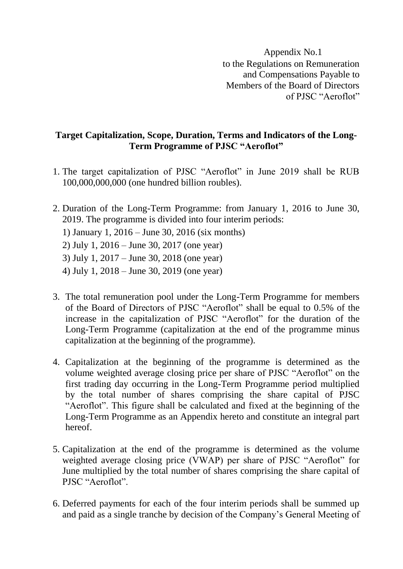Appendix No.1 to the Regulations on Remuneration and Compensations Payable to Members of the Board of Directors of PJSC "Aeroflot"

#### **Target Capitalization, Scope, Duration, Terms and Indicators of the Long-Term Programme of PJSC "Aeroflot"**

- 1. The target capitalization of PJSC "Aeroflot" in June 2019 shall be RUB 100,000,000,000 (one hundred billion roubles).
- 2. Duration of the Long-Term Programme: from January 1, 2016 to June 30, 2019. The programme is divided into four interim periods:
	- 1) January 1, 2016 June 30, 2016 (six months)
	- 2) July 1, 2016 June 30, 2017 (one year)
	- 3) July 1, 2017 June 30, 2018 (one year)
	- 4) July 1, 2018 June 30, 2019 (one year)
- 3. The total remuneration pool under the Long-Term Programme for members of the Board of Directors of PJSC "Aeroflot" shall be equal to 0.5% of the increase in the capitalization of PJSC "Aeroflot" for the duration of the Long-Term Programme (capitalization at the end of the programme minus capitalization at the beginning of the programme).
- 4. Capitalization at the beginning of the programme is determined as the volume weighted average closing price per share of PJSC "Aeroflot" on the first trading day occurring in the Long-Term Programme period multiplied by the total number of shares comprising the share capital of PJSC "Aeroflot". This figure shall be calculated and fixed at the beginning of the Long-Term Programme as an Appendix hereto and constitute an integral part hereof.
- 5. Capitalization at the end of the programme is determined as the volume weighted average closing price (VWAP) per share of PJSC "Aeroflot" for June multiplied by the total number of shares comprising the share capital of PJSC "Aeroflot".
- 6. Deferred payments for each of the four interim periods shall be summed up and paid as a single tranche by decision of the Company's General Meeting of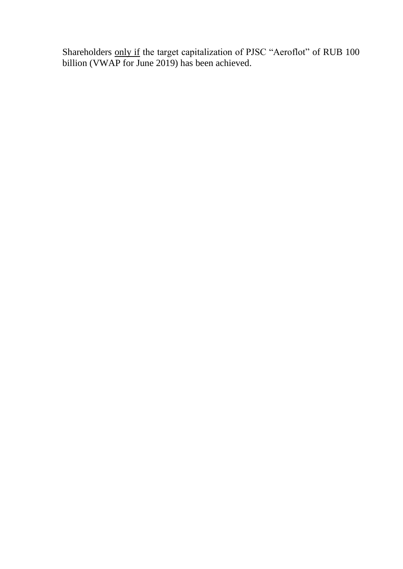Shareholders only if the target capitalization of PJSC "Aeroflot" of RUB 100 billion (VWAP for June 2019) has been achieved.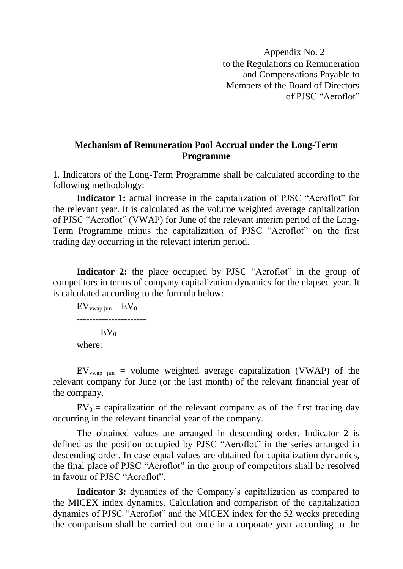Appendix No. 2 to the Regulations on Remuneration and Compensations Payable to Members of the Board of Directors of PJSC "Aeroflot"

#### **Mechanism of Remuneration Pool Accrual under the Long-Term Programme**

1. Indicators of the Long-Term Programme shall be calculated according to the following methodology:

**Indicator 1:** actual increase in the capitalization of PJSC "Aeroflot" for the relevant year. It is calculated as the volume weighted average capitalization of PJSC "Aeroflot" (VWAP) for June of the relevant interim period of the Long-Term Programme minus the capitalization of PJSC "Aeroflot" on the first trading day occurring in the relevant interim period.

**Indicator 2:** the place occupied by PJSC "Aeroflot" in the group of competitors in terms of company capitalization dynamics for the elapsed year. It is calculated according to the formula below:

 $EV_{vwaq in} - EV_0$ ----------------------  $EV_0$ where:

 $EV_{vwan}$  iun = volume weighted average capitalization (VWAP) of the relevant company for June (or the last month) of the relevant financial year of the company.

 $EV_0$  = capitalization of the relevant company as of the first trading day occurring in the relevant financial year of the company.

The obtained values are arranged in descending order. Indicator 2 is defined as the position occupied by PJSC "Aeroflot" in the series arranged in descending order. In case equal values are obtained for capitalization dynamics, the final place of PJSC "Aeroflot" in the group of competitors shall be resolved in favour of PJSC "Aeroflot".

**Indicator 3:** dynamics of the Company's capitalization as compared to the MICEX index dynamics. Calculation and comparison of the capitalization dynamics of PJSC "Aeroflot" and the MICEX index for the 52 weeks preceding the comparison shall be carried out once in a corporate year according to the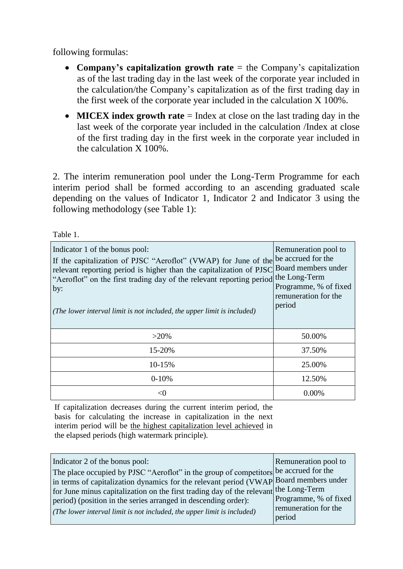following formulas:

- **Company's capitalization growth rate** = the Company's capitalization as of the last trading day in the last week of the corporate year included in the calculation/the Company's capitalization as of the first trading day in the first week of the corporate year included in the calculation X 100%.
- **MICEX index growth rate** = Index at close on the last trading day in the last week of the corporate year included in the calculation /Index at close of the first trading day in the first week in the corporate year included in the calculation X 100%.

2. The interim remuneration pool under the Long-Term Programme for each interim period shall be formed according to an ascending graduated scale depending on the values of Indicator 1, Indicator 2 and Indicator 3 using the following methodology (see Table 1):

Table 1.

| Indicator 1 of the bonus pool:<br>If the capitalization of PJSC "Aeroflot" (VWAP) for June of the be accrued for the<br>relevant reporting period is higher than the capitalization of PJSC Board members under<br>"Aeroflot" on the first trading day of the relevant reporting period the Long-Term<br>by:<br>(The lower interval limit is not included, the upper limit is included) | Remuneration pool to<br>Programme, % of fixed<br>remuneration for the<br>period |
|-----------------------------------------------------------------------------------------------------------------------------------------------------------------------------------------------------------------------------------------------------------------------------------------------------------------------------------------------------------------------------------------|---------------------------------------------------------------------------------|
| $>20\%$                                                                                                                                                                                                                                                                                                                                                                                 | 50.00%                                                                          |
| 15-20%                                                                                                                                                                                                                                                                                                                                                                                  | 37.50%                                                                          |
| 10-15%                                                                                                                                                                                                                                                                                                                                                                                  | 25.00%                                                                          |
| $0-10%$                                                                                                                                                                                                                                                                                                                                                                                 | 12.50%                                                                          |
|                                                                                                                                                                                                                                                                                                                                                                                         | $0.00\%$                                                                        |

If capitalization decreases during the current interim period, the basis for calculating the increase in capitalization in the next interim period will be the highest capitalization level achieved in the elapsed periods (high watermark principle).

| Indicator 2 of the bonus pool:<br>The place occupied by PJSC "Aeroflot" in the group of competitors be accrued for the<br>in terms of capitalization dynamics for the relevant period (VWAP Board members under<br>for June minus capitalization on the first trading day of the relevant the Long-Term<br>period) (position in the series arranged in descending order):<br>( <i>The lower interval limit is not included, the upper limit is included</i> ) | Remuneration pool to<br>Programme, % of fixed<br>remuneration for the<br>period |
|---------------------------------------------------------------------------------------------------------------------------------------------------------------------------------------------------------------------------------------------------------------------------------------------------------------------------------------------------------------------------------------------------------------------------------------------------------------|---------------------------------------------------------------------------------|
|---------------------------------------------------------------------------------------------------------------------------------------------------------------------------------------------------------------------------------------------------------------------------------------------------------------------------------------------------------------------------------------------------------------------------------------------------------------|---------------------------------------------------------------------------------|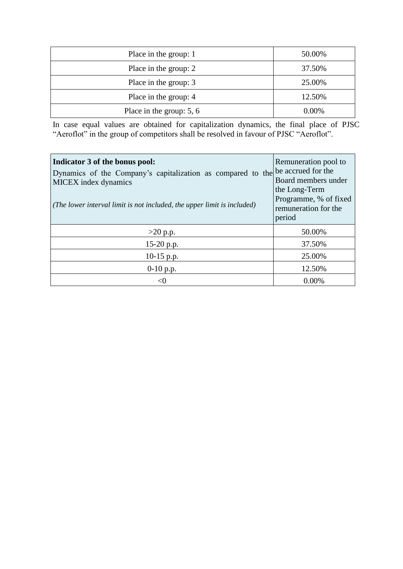| Place in the group: 1      | 50.00%   |
|----------------------------|----------|
| Place in the group: 2      | 37.50%   |
| Place in the group: 3      | 25.00%   |
| Place in the group: 4      | 12.50%   |
| Place in the group: $5, 6$ | $0.00\%$ |

In case equal values are obtained for capitalization dynamics, the final place of PJSC "Aeroflot" in the group of competitors shall be resolved in favour of PJSC "Aeroflot".

| Indicator 3 of the bonus pool:<br>Dynamics of the Company's capitalization as compared to the be accrued for the<br><b>MICEX</b> index dynamics<br>(The lower interval limit is not included, the upper limit is included) | Remuneration pool to<br>Board members under<br>the Long-Term<br>Programme, % of fixed<br>remuneration for the<br>period |
|----------------------------------------------------------------------------------------------------------------------------------------------------------------------------------------------------------------------------|-------------------------------------------------------------------------------------------------------------------------|
| $>20$ p.p.                                                                                                                                                                                                                 | 50.00%                                                                                                                  |
| 15-20 p.p.                                                                                                                                                                                                                 | 37.50%                                                                                                                  |
| $10-15$ p.p.                                                                                                                                                                                                               | 25.00%                                                                                                                  |
| $0-10$ p.p.                                                                                                                                                                                                                | 12.50%                                                                                                                  |
|                                                                                                                                                                                                                            | 0.00%                                                                                                                   |